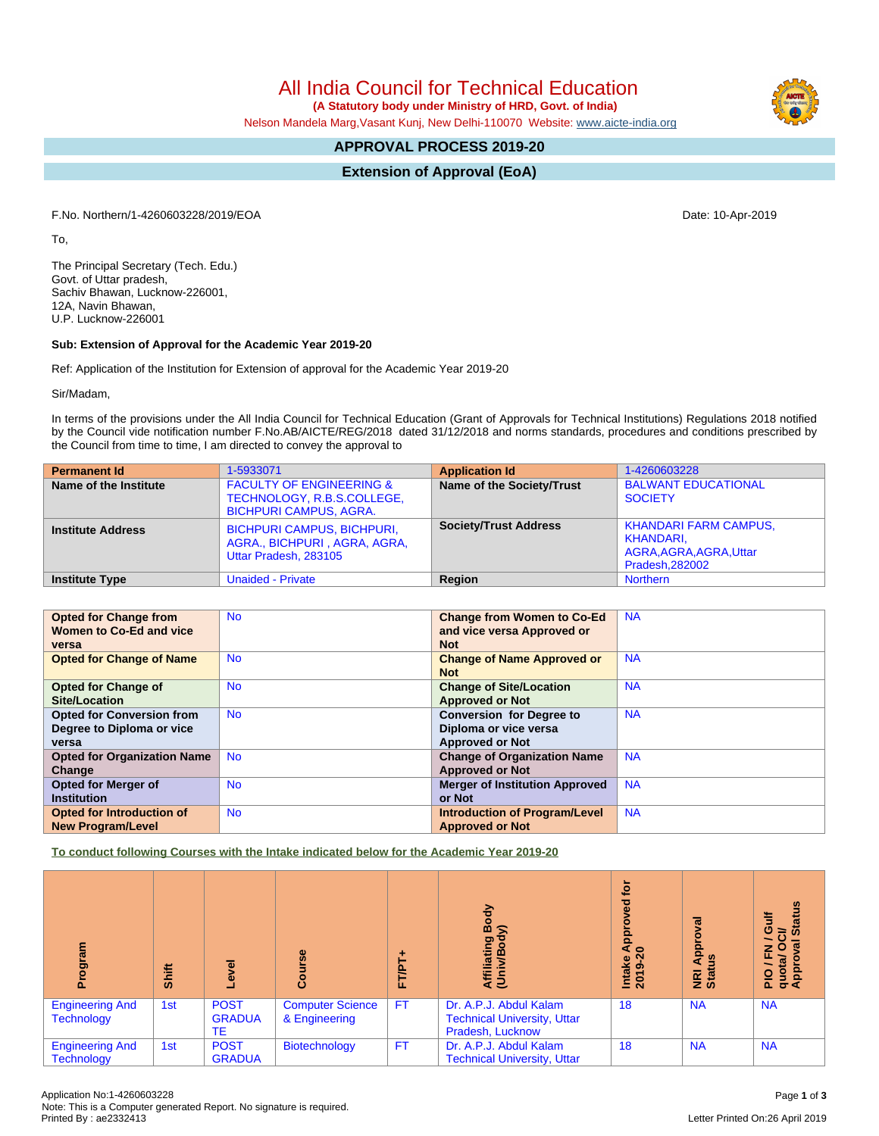All India Council for Technical Education

 **(A Statutory body under Ministry of HRD, Govt. of India)**

Nelson Mandela Marg,Vasant Kunj, New Delhi-110070 Website: [www.aicte-india.org](http://www.aicte-india.org)

# **APPROVAL PROCESS 2019-20**

**Extension of Approval (EoA)**

F.No. Northern/1-4260603228/2019/EOA Date: 10-Apr-2019

To,

The Principal Secretary (Tech. Edu.) Govt. of Uttar pradesh, Sachiv Bhawan, Lucknow-226001, 12A, Navin Bhawan, U.P. Lucknow-226001

### **Sub: Extension of Approval for the Academic Year 2019-20**

Ref: Application of the Institution for Extension of approval for the Academic Year 2019-20

Sir/Madam,

In terms of the provisions under the All India Council for Technical Education (Grant of Approvals for Technical Institutions) Regulations 2018 notified by the Council vide notification number F.No.AB/AICTE/REG/2018 dated 31/12/2018 and norms standards, procedures and conditions prescribed by the Council from time to time, I am directed to convey the approval to

| <b>Permanent Id</b>      | 1-5933071                                                                                          | <b>Application Id</b>        | 1-4260603228                                                                           |
|--------------------------|----------------------------------------------------------------------------------------------------|------------------------------|----------------------------------------------------------------------------------------|
| Name of the Institute    | <b>FACULTY OF ENGINEERING &amp;</b><br>TECHNOLOGY, R.B.S.COLLEGE,<br><b>BICHPURI CAMPUS, AGRA.</b> | Name of the Society/Trust    | <b>BALWANT EDUCATIONAL</b><br><b>SOCIETY</b>                                           |
| <b>Institute Address</b> | <b>BICHPURI CAMPUS, BICHPURI,</b><br>AGRA., BICHPURI, AGRA, AGRA,<br>Uttar Pradesh, 283105         | <b>Society/Trust Address</b> | <b>KHANDARI FARM CAMPUS,</b><br>KHANDARI.<br>AGRA, AGRA, AGRA, Uttar<br>Pradesh.282002 |
| <b>Institute Type</b>    | <b>Unaided - Private</b>                                                                           | Region                       | <b>Northern</b>                                                                        |

| <b>Opted for Change from</b>       | <b>No</b> | <b>Change from Women to Co-Ed</b>     | <b>NA</b> |
|------------------------------------|-----------|---------------------------------------|-----------|
| Women to Co-Ed and vice            |           | and vice versa Approved or            |           |
| versa                              |           | <b>Not</b>                            |           |
| <b>Opted for Change of Name</b>    | <b>No</b> | <b>Change of Name Approved or</b>     | <b>NA</b> |
|                                    |           | <b>Not</b>                            |           |
| <b>Opted for Change of</b>         | <b>No</b> | <b>Change of Site/Location</b>        | <b>NA</b> |
| Site/Location                      |           | <b>Approved or Not</b>                |           |
| <b>Opted for Conversion from</b>   | <b>No</b> | <b>Conversion for Degree to</b>       | <b>NA</b> |
| Degree to Diploma or vice          |           | Diploma or vice versa                 |           |
| versa                              |           | <b>Approved or Not</b>                |           |
| <b>Opted for Organization Name</b> | <b>No</b> | <b>Change of Organization Name</b>    | <b>NA</b> |
| Change                             |           | <b>Approved or Not</b>                |           |
| <b>Opted for Merger of</b>         | <b>No</b> | <b>Merger of Institution Approved</b> | <b>NA</b> |
| <b>Institution</b>                 |           | or Not                                |           |
| <b>Opted for Introduction of</b>   | <b>No</b> | <b>Introduction of Program/Level</b>  | <b>NA</b> |
| <b>New Program/Level</b>           |           | <b>Approved or Not</b>                |           |

**To conduct following Courses with the Intake indicated below for the Academic Year 2019-20**

| ogram<br>൨                                  | Shift | g<br>$\ddot{\mathbf{e}}$                  | rse<br>Cour                              | FT/PT     | 증<br>ă<br>Affiliating<br>(Univ/Bod                                               | <u>ក្ន</u><br>ਫੂ<br>App<br>$\overline{20}$<br>Intake<br>2019-2 | हु<br>ႎ<br>Appr<br><b>NE</b><br>Stat | <b>Status</b><br><b>Gulf</b><br>ট<br>z o<br>$\sigma$<br>ш<br>PIO / F<br>quota/<br>Approv |
|---------------------------------------------|-------|-------------------------------------------|------------------------------------------|-----------|----------------------------------------------------------------------------------|----------------------------------------------------------------|--------------------------------------|------------------------------------------------------------------------------------------|
| <b>Engineering And</b><br><b>Technology</b> | 1st   | <b>POST</b><br><b>GRADUA</b><br><b>TE</b> | <b>Computer Science</b><br>& Engineering | <b>FT</b> | Dr. A.P.J. Abdul Kalam<br><b>Technical University, Uttar</b><br>Pradesh, Lucknow | 18                                                             | <b>NA</b>                            | <b>NA</b>                                                                                |
| <b>Engineering And</b><br><b>Technology</b> | 1st   | <b>POST</b><br><b>GRADUA</b>              | Biotechnology                            | <b>FT</b> | Dr. A.P.J. Abdul Kalam<br><b>Technical University, Uttar</b>                     | 18                                                             | <b>NA</b>                            | <b>NA</b>                                                                                |

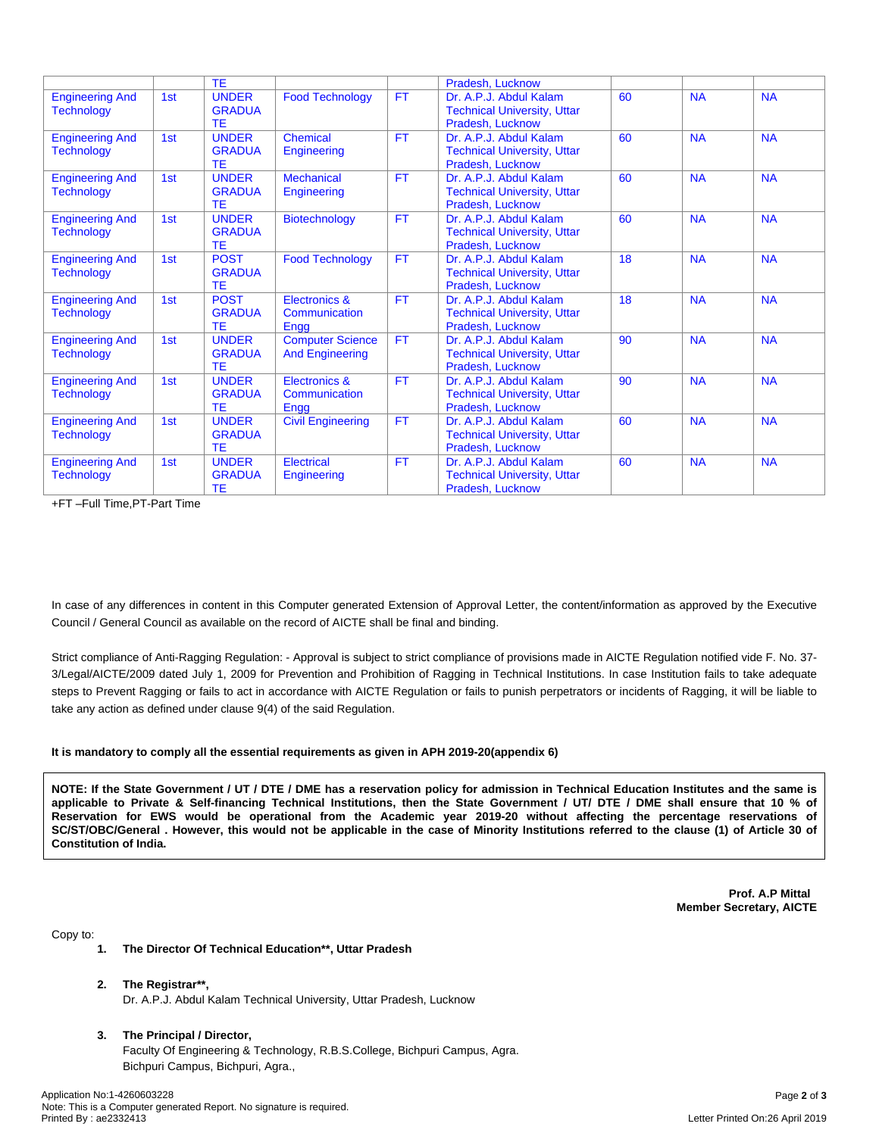|                                             |     | <b>TE</b>                                  |                                                   |           | Pradesh, Lucknow                                                                 |    |           |           |
|---------------------------------------------|-----|--------------------------------------------|---------------------------------------------------|-----------|----------------------------------------------------------------------------------|----|-----------|-----------|
| <b>Engineering And</b><br><b>Technology</b> | 1st | <b>UNDER</b><br><b>GRADUA</b><br>TE        | <b>Food Technology</b>                            | <b>FT</b> | Dr. A.P.J. Abdul Kalam<br><b>Technical University, Uttar</b><br>Pradesh, Lucknow | 60 | <b>NA</b> | <b>NA</b> |
| <b>Engineering And</b><br><b>Technology</b> | 1st | <b>UNDER</b><br><b>GRADUA</b><br>TE        | Chemical<br>Engineering                           | <b>FT</b> | Dr. A.P.J. Abdul Kalam<br><b>Technical University, Uttar</b><br>Pradesh, Lucknow | 60 | <b>NA</b> | <b>NA</b> |
| <b>Engineering And</b><br><b>Technology</b> | 1st | <b>UNDER</b><br><b>GRADUA</b><br>TE        | <b>Mechanical</b><br>Engineering                  | <b>FT</b> | Dr. A.P.J. Abdul Kalam<br><b>Technical University, Uttar</b><br>Pradesh, Lucknow | 60 | <b>NA</b> | <b>NA</b> |
| <b>Engineering And</b><br><b>Technology</b> | 1st | <b>UNDER</b><br><b>GRADUA</b><br><b>TE</b> | <b>Biotechnology</b>                              | <b>FT</b> | Dr. A.P.J. Abdul Kalam<br><b>Technical University, Uttar</b><br>Pradesh, Lucknow | 60 | <b>NA</b> | <b>NA</b> |
| <b>Engineering And</b><br><b>Technology</b> | 1st | <b>POST</b><br><b>GRADUA</b><br><b>TE</b>  | <b>Food Technology</b>                            | <b>FT</b> | Dr. A.P.J. Abdul Kalam<br><b>Technical University, Uttar</b><br>Pradesh, Lucknow | 18 | <b>NA</b> | <b>NA</b> |
| <b>Engineering And</b><br><b>Technology</b> | 1st | <b>POST</b><br><b>GRADUA</b><br>TE         | <b>Electronics &amp;</b><br>Communication<br>Engg | <b>FT</b> | Dr. A.P.J. Abdul Kalam<br><b>Technical University, Uttar</b><br>Pradesh, Lucknow | 18 | <b>NA</b> | <b>NA</b> |
| <b>Engineering And</b><br><b>Technology</b> | 1st | <b>UNDER</b><br><b>GRADUA</b><br>TE        | <b>Computer Science</b><br><b>And Engineering</b> | <b>FT</b> | Dr. A.P.J. Abdul Kalam<br><b>Technical University, Uttar</b><br>Pradesh, Lucknow | 90 | <b>NA</b> | <b>NA</b> |
| <b>Engineering And</b><br><b>Technology</b> | 1st | <b>UNDER</b><br><b>GRADUA</b><br>TE        | <b>Electronics &amp;</b><br>Communication<br>Engg | <b>FT</b> | Dr. A.P.J. Abdul Kalam<br><b>Technical University, Uttar</b><br>Pradesh, Lucknow | 90 | <b>NA</b> | <b>NA</b> |
| <b>Engineering And</b><br><b>Technology</b> | 1st | <b>UNDER</b><br><b>GRADUA</b><br>TE        | <b>Civil Engineering</b>                          | <b>FT</b> | Dr. A.P.J. Abdul Kalam<br><b>Technical University, Uttar</b><br>Pradesh, Lucknow | 60 | <b>NA</b> | <b>NA</b> |
| <b>Engineering And</b><br><b>Technology</b> | 1st | <b>UNDER</b><br><b>GRADUA</b><br>TE        | <b>Electrical</b><br>Engineering                  | <b>FT</b> | Dr. A.P.J. Abdul Kalam<br><b>Technical University, Uttar</b><br>Pradesh, Lucknow | 60 | <b>NA</b> | <b>NA</b> |

+FT –Full Time,PT-Part Time

In case of any differences in content in this Computer generated Extension of Approval Letter, the content/information as approved by the Executive Council / General Council as available on the record of AICTE shall be final and binding.

Strict compliance of Anti-Ragging Regulation: - Approval is subject to strict compliance of provisions made in AICTE Regulation notified vide F. No. 37- 3/Legal/AICTE/2009 dated July 1, 2009 for Prevention and Prohibition of Ragging in Technical Institutions. In case Institution fails to take adequate steps to Prevent Ragging or fails to act in accordance with AICTE Regulation or fails to punish perpetrators or incidents of Ragging, it will be liable to take any action as defined under clause 9(4) of the said Regulation.

### **It is mandatory to comply all the essential requirements as given in APH 2019-20(appendix 6)**

NOTE: If the State Government / UT / DTE / DME has a reservation policy for admission in Technical Education Institutes and the same is applicable to Private & Self-financing Technical Institutions, then the State Government / UT/ DTE / DME shall ensure that 10 % of Reservation for EWS would be operational from the Academic year 2019-20 without affecting the percentage reservations of SC/ST/OBC/General . However, this would not be applicable in the case of Minority Institutions referred to the clause (1) of Article 30 of **Constitution of India.**

> **Prof. A.P Mittal Member Secretary, AICTE**

Copy to:

- **1. The Director Of Technical Education\*\*, Uttar Pradesh**
- **2. The Registrar\*\*,**
	- Dr. A.P.J. Abdul Kalam Technical University, Uttar Pradesh, Lucknow
- **3. The Principal / Director,** Faculty Of Engineering & Technology, R.B.S.College, Bichpuri Campus, Agra. Bichpuri Campus, Bichpuri, Agra.,